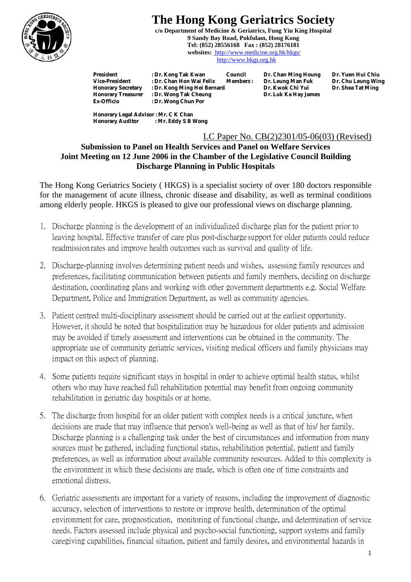

## **The Hong Kong Geriatrics Society**

**c/o Department of Medicine & Geriatrics, Fung Yiu King Hospital 9 Sandy Bay Road, Pokfulam, Hong Kong Tel: (852) 28556168 Fax : (852) 28176181 websites:** http://www.medicine.org.hk/hkgs/ http://www.hkgs.org.hk

**President : Dr. Kong Tak Kwan Council Dr. Chan Ming Houng Dr. Yuen Hui Chiu Pr. Chan Hon Wai Felix Members : Dr. Leung Man Fuk Dr. Chu Leung Wing in the Street Street Street Street Street Street Street Street Street Street Street Street Street Street Street Street Street Street Street Street Stre** Honorary Secretary : Dr. Kong Ming Hei Bernard **Dr. Kwok Chi Yui Dr. Kwok Chi Yui Dr. Kwok Chi Yui**<br>Honorary Treasurer : Dr. Wong Tak Cheung **Dr. Luk Ka Hay James Honorary Treasurer : Dr. Wong Tak Cheung Ex-Officio : Dr. Wong Chun Por Ex-Officio : Dr. Wong Chun Por** 

**Honorary Legal Advisor : Mr. C K Chan Honorary Auditor : Mr. Eddy S B Wong**

## LC Paper No. CB(2)2301/05-06(03) (Revised)

## **Submission to Panel on Health Services and Panel on Welfare Services Joint Meeting on 12 June 2006 in the Chamber of the Legislative Council Building Discharge Planning in Public Hospitals**

The Hong Kong Geriatrics Society ( HKGS) is a specialist society of over 180 doctors responsible for the management of acute illness, chronic disease and disability, as well as terminal conditions among elderly people. HKGS is pleased to give our professional views on discharge planning.

- 1. Discharge planning is the development of an individualized discharge plan for the patient prior to leaving hospital. Effective transfer of care plus post-discharge support for older patients could reduce readmission rates and improve health outcomes such as survival and quality of life.
- 2. Discharge-planning involves determining patient needs and wishes, assessing family resources and preferences, facilitating communication between patients and family members, deciding on discharge destination, coordinating plans and working with other government departments e.g. Social Welfare Department, Police and Immigration Department, as well as community agencies.
- 3. Patient centred multi-disciplinary assessment should be carried out at the earliest opportunity. However, it should be noted that hospitalization may be hazardous for older patients and admission may be avoided if timely assessment and interventions can be obtained in the community. The appropriate use of community geriatric services, visiting medical officers and family physicians may impact on this aspect of planning.
- 4. Some patients require significant stays in hospital in order to achieve optimal health status, whilst others who may have reached full rehabilitation potential may benefit from ongoing community rehabilitation in geriatric day hospitals or at home.
- 5. The discharge from hospital for an older patient with complex needs is a critical juncture, when decisions are made that may influence that person's well-being as well as that of his/ her family. Discharge planning is a challenging task under the best of circumstances and information from many sources must be gathered, including functional status, rehabilitation potential, patient and family preferences, as well as information about available community resources. Added to this complexity is the environment in which these decisions are made, which is often one of time constraints and emotional distress.
- 6. Geriatric assessments are important for a variety of reasons, including the improvement of diagnostic accuracy, selection of interventions to restore or improve health, determination of the optimal environment for care, prognostication, monitoring of functional change, and determination of service needs. Factors assessed include physical and psycho-social functioning, support systems and family caregiving capabilities, financial situation, patient and family desires, and environmental hazards in